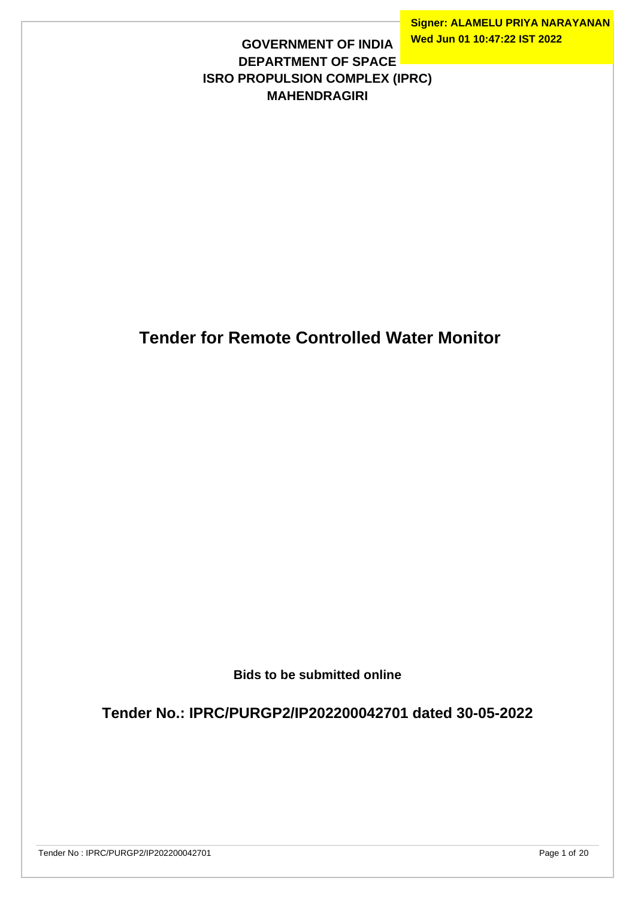**Signer: ALAMELU PRIYA NARAYANAN Wed Jun 01 10:47:22 IST 2022**

### **GOVERNMENT OF INDIA DEPARTMENT OF SPACE ISRO PROPULSION COMPLEX (IPRC) MAHENDRAGIRI**

# **Tender for Remote Controlled Water Monitor**

**Bids to be submitted online**

**Tender No.: IPRC/PURGP2/IP202200042701 dated 30-05-2022**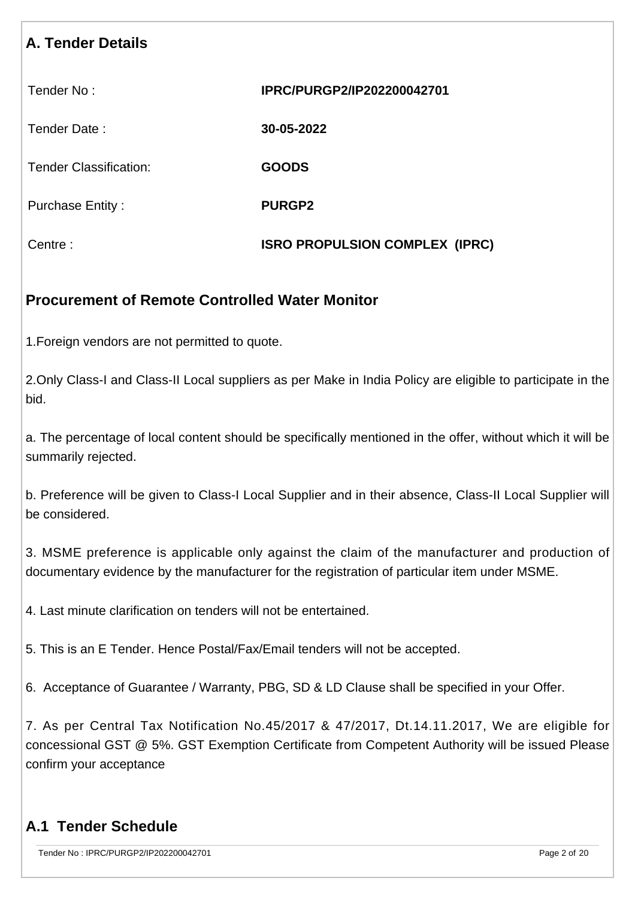| A. Tender Details             |                                       |
|-------------------------------|---------------------------------------|
| Tender No:                    | <b>IPRC/PURGP2/IP202200042701</b>     |
| Tender Date:                  | 30-05-2022                            |
| <b>Tender Classification:</b> | <b>GOODS</b>                          |
| <b>Purchase Entity:</b>       | <b>PURGP2</b>                         |
| Centre:                       | <b>ISRO PROPULSION COMPLEX (IPRC)</b> |

## **Procurement of Remote Controlled Water Monitor**

1.Foreign vendors are not permitted to quote.

2.Only Class-I and Class-II Local suppliers as per Make in India Policy are eligible to participate in the bid.

a. The percentage of local content should be specifically mentioned in the offer, without which it will be summarily rejected.

b. Preference will be given to Class-I Local Supplier and in their absence, Class-II Local Supplier will be considered.

3. MSME preference is applicable only against the claim of the manufacturer and production of documentary evidence by the manufacturer for the registration of particular item under MSME.

4. Last minute clarification on tenders will not be entertained.

5. This is an E Tender. Hence Postal/Fax/Email tenders will not be accepted.

6. Acceptance of Guarantee / Warranty, PBG, SD & LD Clause shall be specified in your Offer.

7. As per Central Tax Notification No.45/2017 & 47/2017, Dt.14.11.2017, We are eligible for concessional GST @ 5%. GST Exemption Certificate from Competent Authority will be issued Please confirm your acceptance

## **A.1 Tender Schedule**

Tender No : IPRC/PURGP2/IP202200042701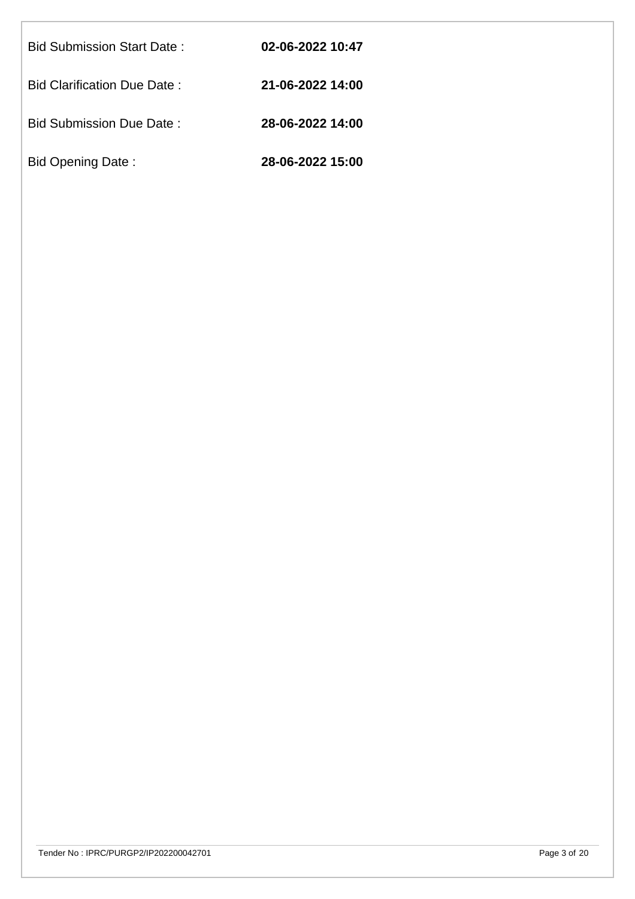| <b>Bid Submission Start Date:</b> | 02-06-2022 10:47 |
|-----------------------------------|------------------|
| Bid Clarification Due Date:       | 21-06-2022 14:00 |
| Bid Submission Due Date :         | 28-06-2022 14:00 |
| Bid Opening Date:                 | 28-06-2022 15:00 |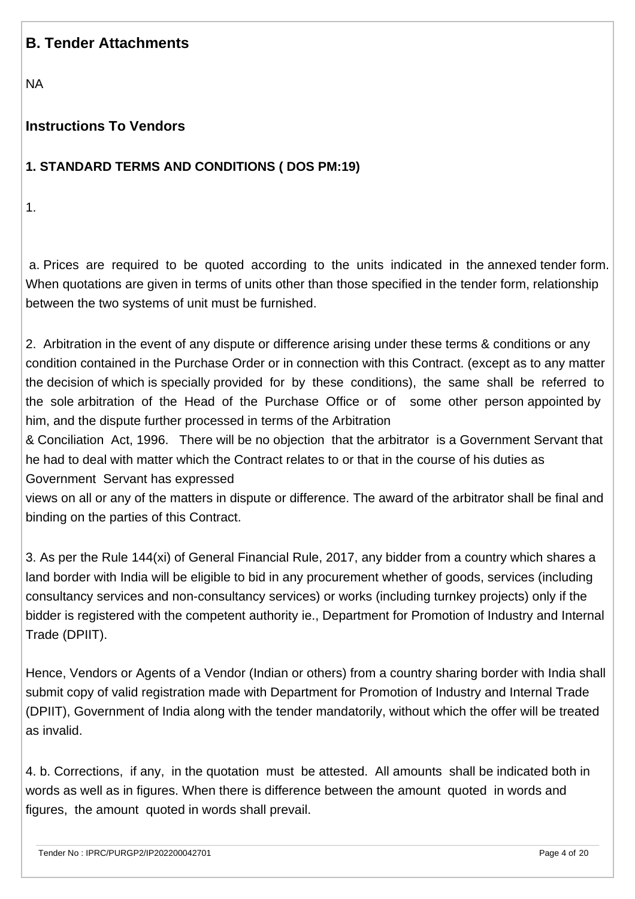### **B. Tender Attachments**

NA

### **Instructions To Vendors**

### **1. STANDARD TERMS AND CONDITIONS ( DOS PM:19)**

1.

 a. Prices are required to be quoted according to the units indicated in the annexed tender form. When quotations are given in terms of units other than those specified in the tender form, relationship between the two systems of unit must be furnished.

2. Arbitration in the event of any dispute or difference arising under these terms & conditions or any condition contained in the Purchase Order or in connection with this Contract. (except as to any matter the decision of which is specially provided for by these conditions), the same shall be referred to the sole arbitration of the Head of the Purchase Office or of some other person appointed by him, and the dispute further processed in terms of the Arbitration

& Conciliation Act, 1996. There will be no objection that the arbitrator is a Government Servant that he had to deal with matter which the Contract relates to or that in the course of his duties as Government Servant has expressed

views on all or any of the matters in dispute or difference. The award of the arbitrator shall be final and binding on the parties of this Contract.

3. As per the Rule 144(xi) of General Financial Rule, 2017, any bidder from a country which shares a land border with India will be eligible to bid in any procurement whether of goods, services (including consultancy services and non-consultancy services) or works (including turnkey projects) only if the bidder is registered with the competent authority ie., Department for Promotion of Industry and Internal Trade (DPIIT).

Hence, Vendors or Agents of a Vendor (Indian or others) from a country sharing border with India shall submit copy of valid registration made with Department for Promotion of Industry and Internal Trade (DPIIT), Government of India along with the tender mandatorily, without which the offer will be treated as invalid.

4. b. Corrections, if any, in the quotation must be attested. All amounts shall be indicated both in words as well as in figures. When there is difference between the amount quoted in words and figures, the amount quoted in words shall prevail.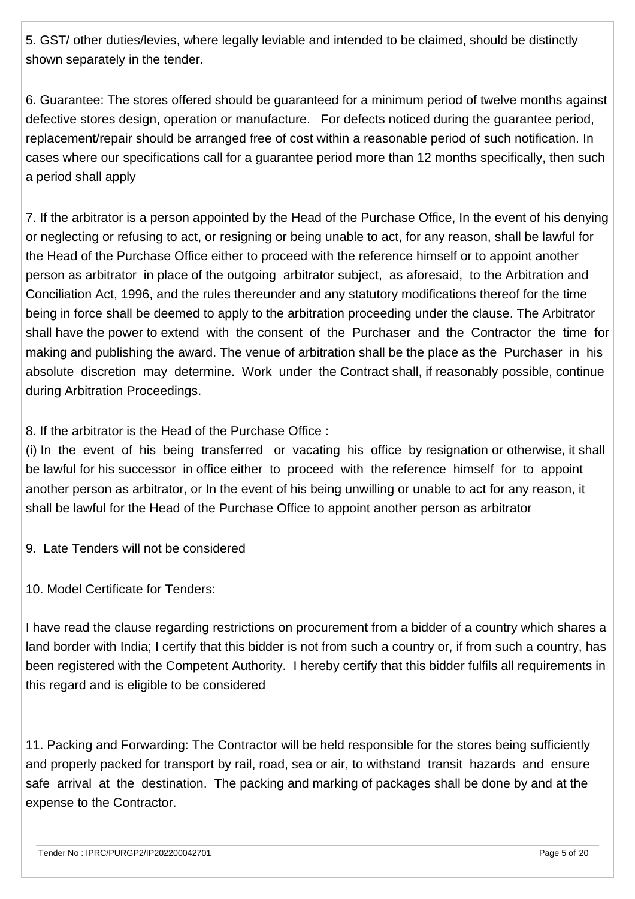5. GST/ other duties/levies, where legally leviable and intended to be claimed, should be distinctly shown separately in the tender.

6. Guarantee: The stores offered should be guaranteed for a minimum period of twelve months against defective stores design, operation or manufacture. For defects noticed during the guarantee period, replacement/repair should be arranged free of cost within a reasonable period of such notification. In cases where our specifications call for a guarantee period more than 12 months specifically, then such a period shall apply

7. If the arbitrator is a person appointed by the Head of the Purchase Office, In the event of his denying or neglecting or refusing to act, or resigning or being unable to act, for any reason, shall be lawful for the Head of the Purchase Office either to proceed with the reference himself or to appoint another person as arbitrator in place of the outgoing arbitrator subject, as aforesaid, to the Arbitration and Conciliation Act, 1996, and the rules thereunder and any statutory modifications thereof for the time being in force shall be deemed to apply to the arbitration proceeding under the clause. The Arbitrator shall have the power to extend with the consent of the Purchaser and the Contractor the time for making and publishing the award. The venue of arbitration shall be the place as the Purchaser in his absolute discretion may determine. Work under the Contract shall, if reasonably possible, continue during Arbitration Proceedings.

8. If the arbitrator is the Head of the Purchase Office :

(i) In the event of his being transferred or vacating his office by resignation or otherwise, it shall be lawful for his successor in office either to proceed with the reference himself for to appoint another person as arbitrator, or In the event of his being unwilling or unable to act for any reason, it shall be lawful for the Head of the Purchase Office to appoint another person as arbitrator

9. Late Tenders will not be considered

10. Model Certificate for Tenders:

I have read the clause regarding restrictions on procurement from a bidder of a country which shares a land border with India; I certify that this bidder is not from such a country or, if from such a country, has been registered with the Competent Authority. I hereby certify that this bidder fulfils all requirements in this regard and is eligible to be considered

11. Packing and Forwarding: The Contractor will be held responsible for the stores being sufficiently and properly packed for transport by rail, road, sea or air, to withstand transit hazards and ensure safe arrival at the destination. The packing and marking of packages shall be done by and at the expense to the Contractor.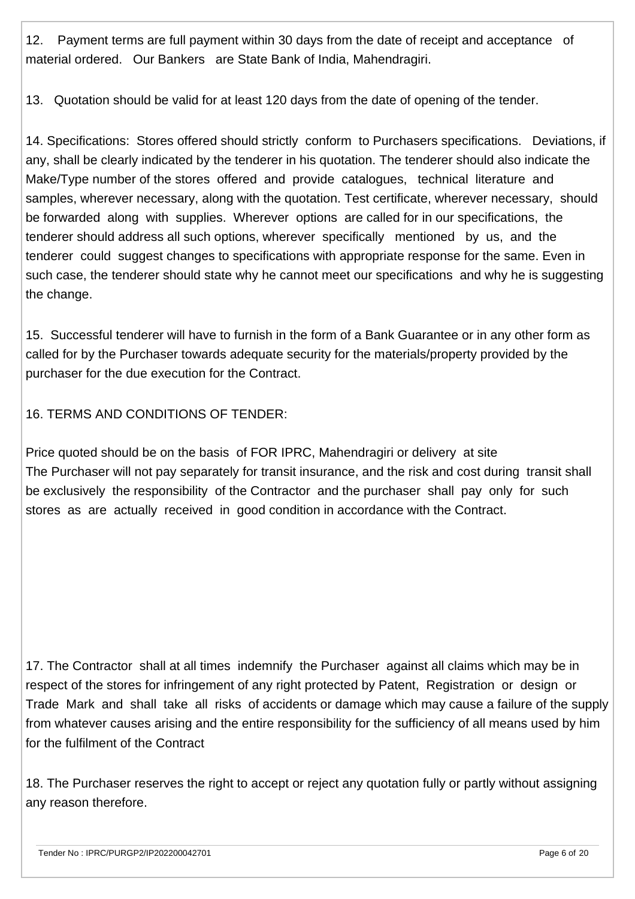12. Payment terms are full payment within 30 days from the date of receipt and acceptance of material ordered. Our Bankers are State Bank of India, Mahendragiri.

13. Quotation should be valid for at least 120 days from the date of opening of the tender.

14. Specifications: Stores offered should strictly conform to Purchasers specifications. Deviations, if any, shall be clearly indicated by the tenderer in his quotation. The tenderer should also indicate the Make/Type number of the stores offered and provide catalogues, technical literature and samples, wherever necessary, along with the quotation. Test certificate, wherever necessary, should be forwarded along with supplies. Wherever options are called for in our specifications, the tenderer should address all such options, wherever specifically mentioned by us, and the tenderer could suggest changes to specifications with appropriate response for the same. Even in such case, the tenderer should state why he cannot meet our specifications and why he is suggesting the change.

15. Successful tenderer will have to furnish in the form of a Bank Guarantee or in any other form as called for by the Purchaser towards adequate security for the materials/property provided by the purchaser for the due execution for the Contract.

16. TERMS AND CONDITIONS OF TENDER:

Price quoted should be on the basis of FOR IPRC, Mahendragiri or delivery at site The Purchaser will not pay separately for transit insurance, and the risk and cost during transit shall be exclusively the responsibility of the Contractor and the purchaser shall pay only for such stores as are actually received in good condition in accordance with the Contract.

17. The Contractor shall at all times indemnify the Purchaser against all claims which may be in respect of the stores for infringement of any right protected by Patent, Registration or design or Trade Mark and shall take all risks of accidents or damage which may cause a failure of the supply from whatever causes arising and the entire responsibility for the sufficiency of all means used by him for the fulfilment of the Contract

18. The Purchaser reserves the right to accept or reject any quotation fully or partly without assigning any reason therefore.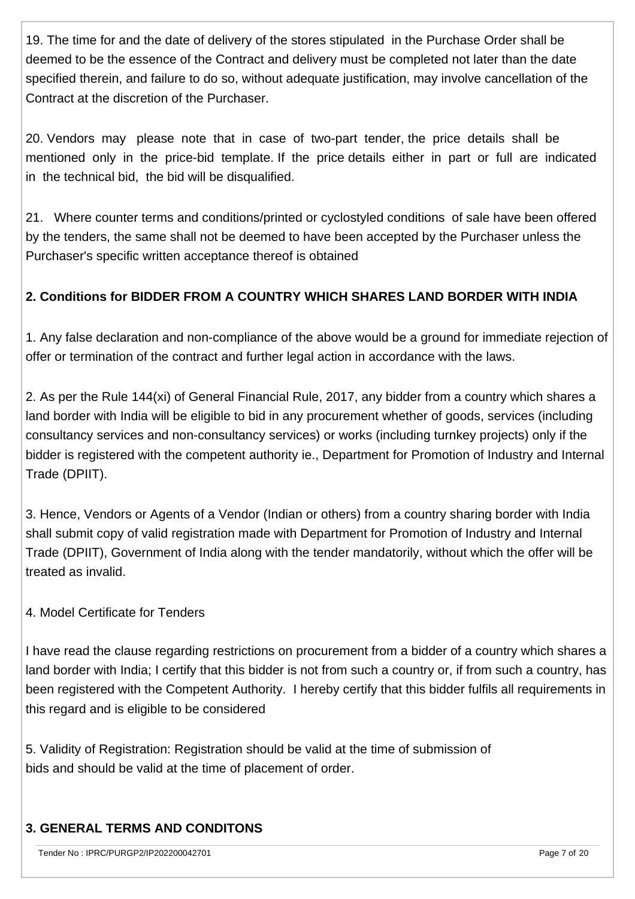19. The time for and the date of delivery of the stores stipulated in the Purchase Order shall be deemed to be the essence of the Contract and delivery must be completed not later than the date specified therein, and failure to do so, without adequate justification, may involve cancellation of the Contract at the discretion of the Purchaser.

20. Vendors may please note that in case of two-part tender, the price details shall be mentioned only in the price-bid template. If the price details either in part or full are indicated in the technical bid, the bid will be disqualified.

21. Where counter terms and conditions/printed or cyclostyled conditions of sale have been offered by the tenders, the same shall not be deemed to have been accepted by the Purchaser unless the Purchaser's specific written acceptance thereof is obtained

### **2. Conditions for BIDDER FROM A COUNTRY WHICH SHARES LAND BORDER WITH INDIA**

1. Any false declaration and non-compliance of the above would be a ground for immediate rejection of offer or termination of the contract and further legal action in accordance with the laws.

2. As per the Rule 144(xi) of General Financial Rule, 2017, any bidder from a country which shares a land border with India will be eligible to bid in any procurement whether of goods, services (including consultancy services and non-consultancy services) or works (including turnkey projects) only if the bidder is registered with the competent authority ie., Department for Promotion of Industry and Internal Trade (DPIIT).

3. Hence, Vendors or Agents of a Vendor (Indian or others) from a country sharing border with India shall submit copy of valid registration made with Department for Promotion of Industry and Internal Trade (DPIIT), Government of India along with the tender mandatorily, without which the offer will be treated as invalid.

#### 4. Model Certificate for Tenders

I have read the clause regarding restrictions on procurement from a bidder of a country which shares a land border with India; I certify that this bidder is not from such a country or, if from such a country, has been registered with the Competent Authority. I hereby certify that this bidder fulfils all requirements in this regard and is eligible to be considered

5. Validity of Registration: Registration should be valid at the time of submission of bids and should be valid at the time of placement of order.

#### **3. GENERAL TERMS AND CONDITONS**

Tender No : IPRC/PURGP2/IP202200042701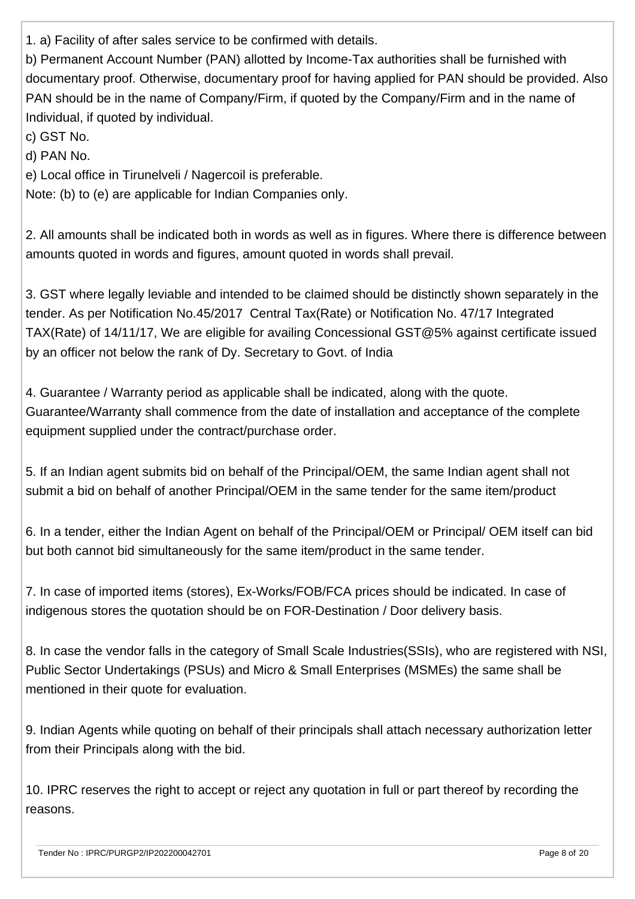1. a) Facility of after sales service to be confirmed with details.

b) Permanent Account Number (PAN) allotted by Income-Tax authorities shall be furnished with documentary proof. Otherwise, documentary proof for having applied for PAN should be provided. Also PAN should be in the name of Company/Firm, if quoted by the Company/Firm and in the name of Individual, if quoted by individual.

c) GST No.

d) PAN No.

e) Local office in Tirunelveli / Nagercoil is preferable.

Note: (b) to (e) are applicable for Indian Companies only.

2. All amounts shall be indicated both in words as well as in figures. Where there is difference between amounts quoted in words and figures, amount quoted in words shall prevail.

3. GST where legally leviable and intended to be claimed should be distinctly shown separately in the tender. As per Notification No.45/2017 Central Tax(Rate) or Notification No. 47/17 Integrated TAX(Rate) of 14/11/17, We are eligible for availing Concessional GST@5% against certificate issued by an officer not below the rank of Dy. Secretary to Govt. of India

4. Guarantee / Warranty period as applicable shall be indicated, along with the quote. Guarantee/Warranty shall commence from the date of installation and acceptance of the complete equipment supplied under the contract/purchase order.

5. If an Indian agent submits bid on behalf of the Principal/OEM, the same Indian agent shall not submit a bid on behalf of another Principal/OEM in the same tender for the same item/product

6. In a tender, either the Indian Agent on behalf of the Principal/OEM or Principal/ OEM itself can bid but both cannot bid simultaneously for the same item/product in the same tender.

7. In case of imported items (stores), Ex-Works/FOB/FCA prices should be indicated. In case of indigenous stores the quotation should be on FOR-Destination / Door delivery basis.

8. In case the vendor falls in the category of Small Scale Industries(SSIs), who are registered with NSI, Public Sector Undertakings (PSUs) and Micro & Small Enterprises (MSMEs) the same shall be mentioned in their quote for evaluation.

9. Indian Agents while quoting on behalf of their principals shall attach necessary authorization letter from their Principals along with the bid.

10. IPRC reserves the right to accept or reject any quotation in full or part thereof by recording the reasons.

Tender No : IPRC/PURGP2/IP202200042701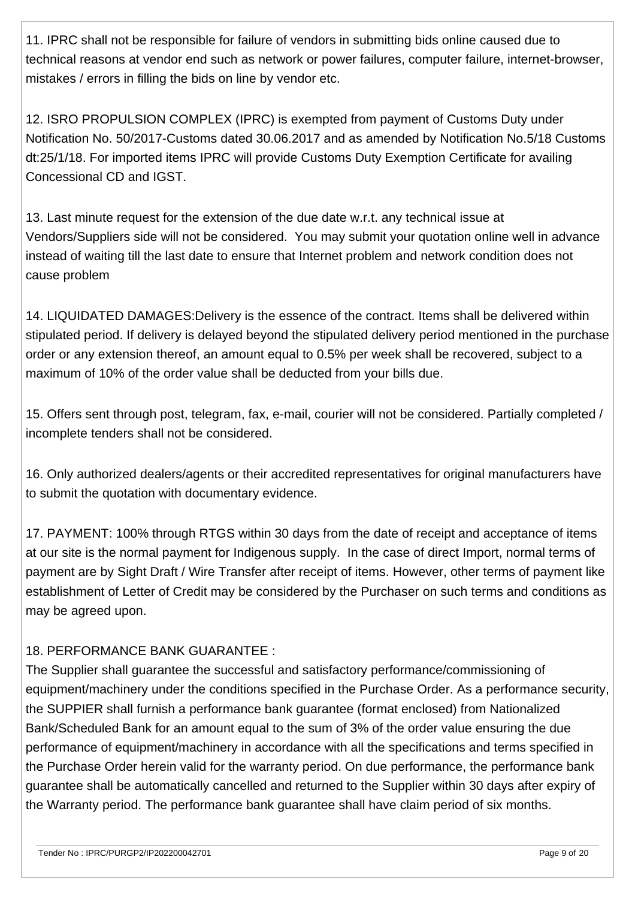11. IPRC shall not be responsible for failure of vendors in submitting bids online caused due to technical reasons at vendor end such as network or power failures, computer failure, internet-browser, mistakes / errors in filling the bids on line by vendor etc.

12. ISRO PROPULSION COMPLEX (IPRC) is exempted from payment of Customs Duty under Notification No. 50/2017-Customs dated 30.06.2017 and as amended by Notification No.5/18 Customs dt:25/1/18. For imported items IPRC will provide Customs Duty Exemption Certificate for availing Concessional CD and IGST.

13. Last minute request for the extension of the due date w.r.t. any technical issue at Vendors/Suppliers side will not be considered. You may submit your quotation online well in advance instead of waiting till the last date to ensure that Internet problem and network condition does not cause problem

14. LIQUIDATED DAMAGES:Delivery is the essence of the contract. Items shall be delivered within stipulated period. If delivery is delayed beyond the stipulated delivery period mentioned in the purchase order or any extension thereof, an amount equal to 0.5% per week shall be recovered, subject to a maximum of 10% of the order value shall be deducted from your bills due.

15. Offers sent through post, telegram, fax, e-mail, courier will not be considered. Partially completed / incomplete tenders shall not be considered.

16. Only authorized dealers/agents or their accredited representatives for original manufacturers have to submit the quotation with documentary evidence.

17. PAYMENT: 100% through RTGS within 30 days from the date of receipt and acceptance of items at our site is the normal payment for Indigenous supply. In the case of direct Import, normal terms of payment are by Sight Draft / Wire Transfer after receipt of items. However, other terms of payment like establishment of Letter of Credit may be considered by the Purchaser on such terms and conditions as may be agreed upon.

### 18. PERFORMANCE BANK GUARANTEE :

The Supplier shall guarantee the successful and satisfactory performance/commissioning of equipment/machinery under the conditions specified in the Purchase Order. As a performance security, the SUPPIER shall furnish a performance bank guarantee (format enclosed) from Nationalized Bank/Scheduled Bank for an amount equal to the sum of 3% of the order value ensuring the due performance of equipment/machinery in accordance with all the specifications and terms specified in the Purchase Order herein valid for the warranty period. On due performance, the performance bank guarantee shall be automatically cancelled and returned to the Supplier within 30 days after expiry of the Warranty period. The performance bank guarantee shall have claim period of six months.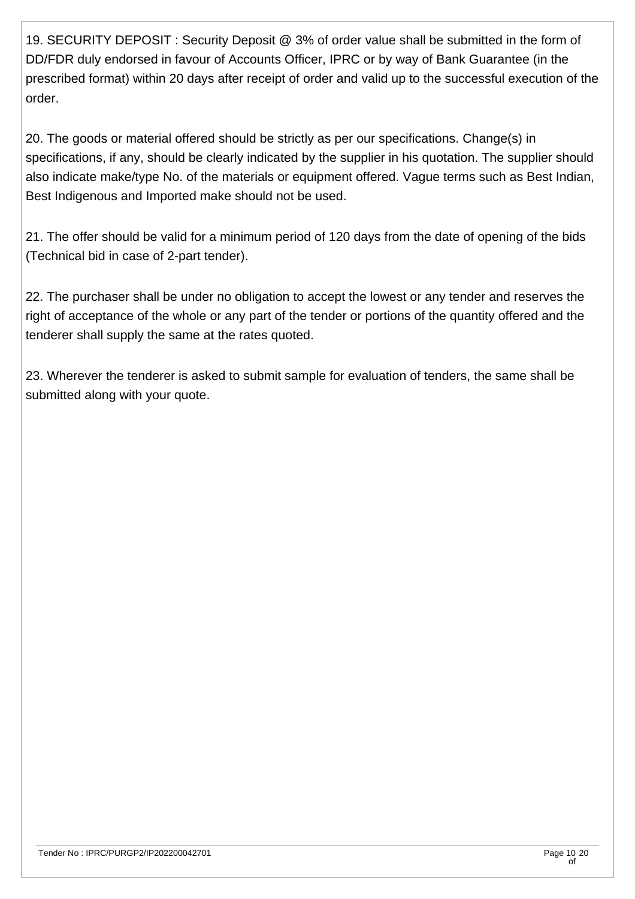19. SECURITY DEPOSIT : Security Deposit @ 3% of order value shall be submitted in the form of DD/FDR duly endorsed in favour of Accounts Officer, IPRC or by way of Bank Guarantee (in the prescribed format) within 20 days after receipt of order and valid up to the successful execution of the order.

20. The goods or material offered should be strictly as per our specifications. Change(s) in specifications, if any, should be clearly indicated by the supplier in his quotation. The supplier should also indicate make/type No. of the materials or equipment offered. Vague terms such as Best Indian, Best Indigenous and Imported make should not be used.

21. The offer should be valid for a minimum period of 120 days from the date of opening of the bids (Technical bid in case of 2-part tender).

22. The purchaser shall be under no obligation to accept the lowest or any tender and reserves the right of acceptance of the whole or any part of the tender or portions of the quantity offered and the tenderer shall supply the same at the rates quoted.

23. Wherever the tenderer is asked to submit sample for evaluation of tenders, the same shall be submitted along with your quote.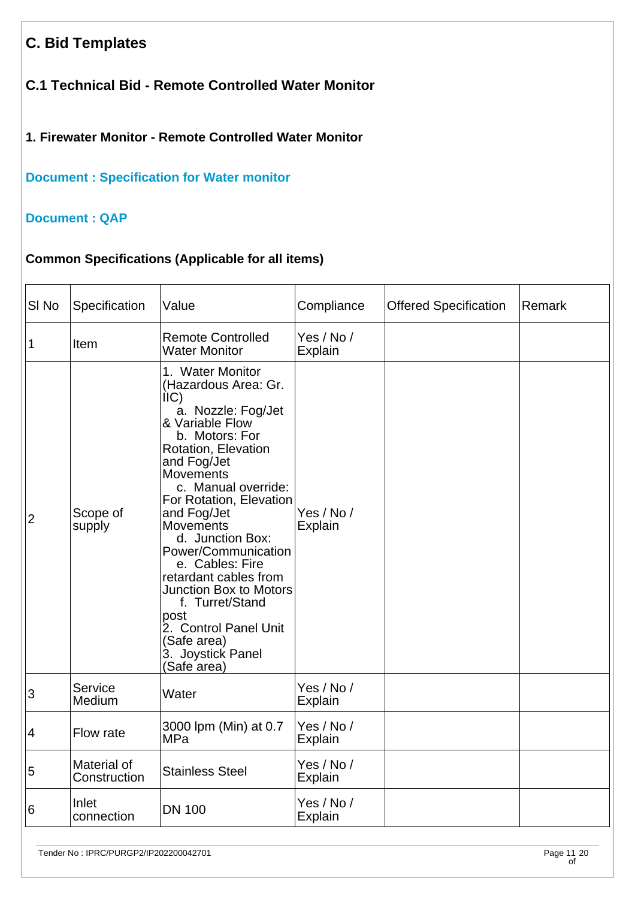# **C. Bid Templates**

## **C.1 Technical Bid - Remote Controlled Water Monitor**

**1. Firewater Monitor - Remote Controlled Water Monitor** 

### **[Document : Specification for Water monitor](https://eproc.isro.gov.in/common/viewDocument?id=ff80818180eef8da0180f072222e0320&indentId=IP2022000427)**

#### **[Document : QAP](https://eproc.isro.gov.in/common/viewDocument?id=ff808181808e21330180dbd8cef52f19&indentId=IP2022000427)**

#### **Common Specifications (Applicable for all items)**

| SI <sub>No</sub> | Specification               | Value                                                                                                                                                                                                                                                                                                                                                                                                                                                                                                                                          | Compliance            | <b>Offered Specification</b> | Remark |
|------------------|-----------------------------|------------------------------------------------------------------------------------------------------------------------------------------------------------------------------------------------------------------------------------------------------------------------------------------------------------------------------------------------------------------------------------------------------------------------------------------------------------------------------------------------------------------------------------------------|-----------------------|------------------------------|--------|
| 1                | Item                        | <b>Remote Controlled</b><br><b>Water Monitor</b>                                                                                                                                                                                                                                                                                                                                                                                                                                                                                               | Yes / No /<br>Explain |                              |        |
| $\overline{2}$   | Scope of<br>supply          | 1. Water Monitor<br>(Hazardous Area: Gr.<br>$\dot{\mathsf{I}}$ $\mathsf{I}$ $\mathsf{C}$ $\mathsf{I}$<br>a. Nozzle: Fog/Jet<br>& Variable Flow<br>b. Motors: For<br>Rotation, Elevation<br>and Fog/Jet<br><b>Movements</b><br>c. Manual override:<br>For Rotation, Elevation<br>and Fog/Jet<br><b>Movements</b><br>d. Junction Box:<br>Power/Communication<br>e. Cables: Fire<br>retardant cables from<br><b>Junction Box to Motors</b><br>f. Turret/Stand<br>post<br>2. Control Panel Unit<br>(Safe area)<br>3. Joystick Panel<br>(Safe area) | Yes / No /<br>Explain |                              |        |
| 3                | Service<br>Medium           | Water                                                                                                                                                                                                                                                                                                                                                                                                                                                                                                                                          | Yes / No /<br>Explain |                              |        |
| 4                | Flow rate                   | 3000 lpm (Min) at 0.7<br><b>MPa</b>                                                                                                                                                                                                                                                                                                                                                                                                                                                                                                            | Yes / No /<br>Explain |                              |        |
| 5                | Material of<br>Construction | <b>Stainless Steel</b>                                                                                                                                                                                                                                                                                                                                                                                                                                                                                                                         | Yes / No /<br>Explain |                              |        |
| 6                | Inlet<br>connection         | <b>DN 100</b>                                                                                                                                                                                                                                                                                                                                                                                                                                                                                                                                  | Yes / No /<br>Explain |                              |        |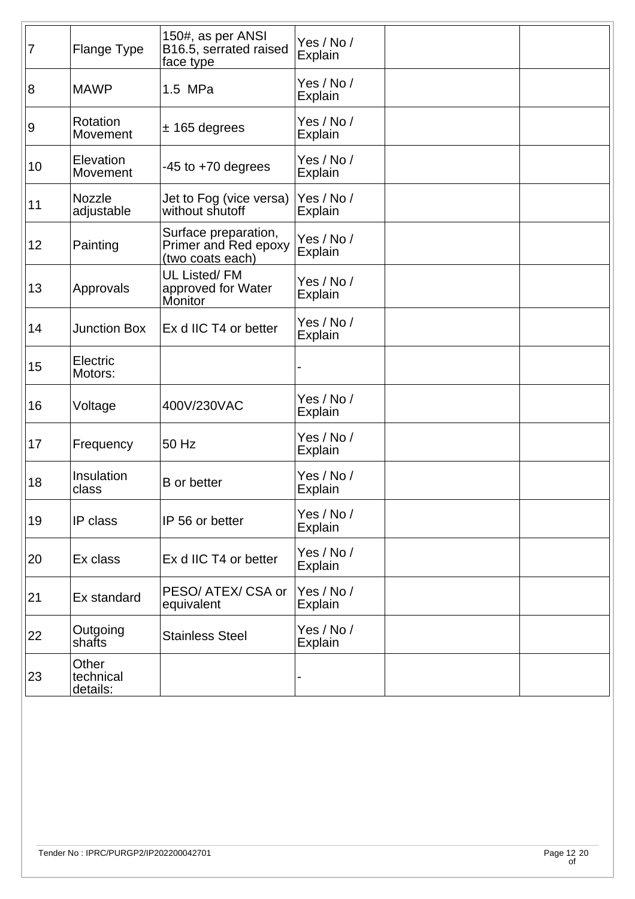| 7  | <b>Flange Type</b>             | 150#, as per ANSI<br>B16.5, serrated raised<br>face type         | Yes / No /<br>Explain        |  |
|----|--------------------------------|------------------------------------------------------------------|------------------------------|--|
| 8  | <b>MAWP</b>                    | 1.5 MPa                                                          | Yes / No /<br>Explain        |  |
| 9  | Rotation<br>Movement           | $±$ 165 degrees                                                  | Yes / No /<br>Explain        |  |
| 10 | Elevation<br>Movement          | $-45$ to $+70$ degrees                                           | Yes / No /<br>Explain        |  |
| 11 | <b>Nozzle</b><br>adjustable    | Jet to Fog (vice versa)<br>without shutoff                       | Yes / No /<br>Explain        |  |
| 12 | Painting                       | Surface preparation,<br>Primer and Red epoxy<br>(two coats each) | Yes / No /<br>Explain        |  |
| 13 | Approvals                      | <b>UL Listed/FM</b><br>approved for Water<br>Monitor             | Yes / No /<br>Explain        |  |
| 14 | <b>Junction Box</b>            | Ex d IIC T4 or better                                            | Yes / No /<br>Explain        |  |
| 15 | Electric<br>Motors:            |                                                                  |                              |  |
| 16 | Voltage                        | 400V/230VAC                                                      | Yes / No /<br>Explain        |  |
| 17 | Frequency                      | 50 Hz                                                            | Yes / No /<br>Explain        |  |
| 18 | Insulation<br>class            | <b>B</b> or better                                               | Yes / No /<br><b>Explain</b> |  |
| 19 | IP class                       | IP 56 or better                                                  | Yes / No /<br>Explain        |  |
| 20 | Ex class                       | Ex d IIC T4 or better                                            | Yes / No /<br>Explain        |  |
| 21 | Ex standard                    | PESO/ ATEX/ CSA or<br>equivalent                                 | Yes / No /<br>Explain        |  |
| 22 | Outgoing<br>shafts             | <b>Stainless Steel</b>                                           | Yes / No /<br>Explain        |  |
| 23 | Other<br>technical<br>details: |                                                                  |                              |  |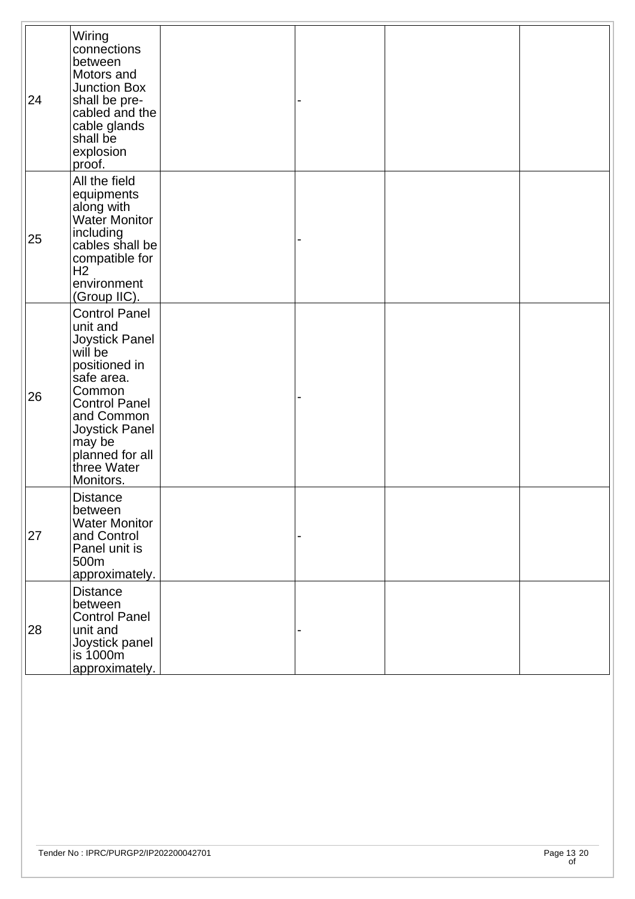| 24 | Wiring<br>connections<br>between<br>Motors and<br>Junction Box<br>shall be pre-<br>cabled and the<br>cable glands<br>shall be<br>explosion<br>proof.                                                                    |  |  |
|----|-------------------------------------------------------------------------------------------------------------------------------------------------------------------------------------------------------------------------|--|--|
| 25 | All the field<br>equipments<br>along with<br>Water Monitor<br>including<br>cables shall be<br>compatible for<br>H <sub>2</sub><br>environment<br>(Group IIC).                                                           |  |  |
| 26 | <b>Control Panel</b><br>unit and<br>Joystick Panel<br>will be<br>positioned in<br>safe area.<br>Common<br><b>Control Panel</b><br>and Common<br>Joystick Panel<br>may be<br>planned for all<br>three Water<br>Monitors. |  |  |
| 27 | <b>Distance</b><br>between<br><b>Water Monitor</b><br>and Control<br>Panel unit is<br>500m<br>approximately.                                                                                                            |  |  |
| 28 | <b>Distance</b><br>between<br><b>Control Panel</b><br>unit and<br>Joystick panel<br>is 1000m<br>approximately.                                                                                                          |  |  |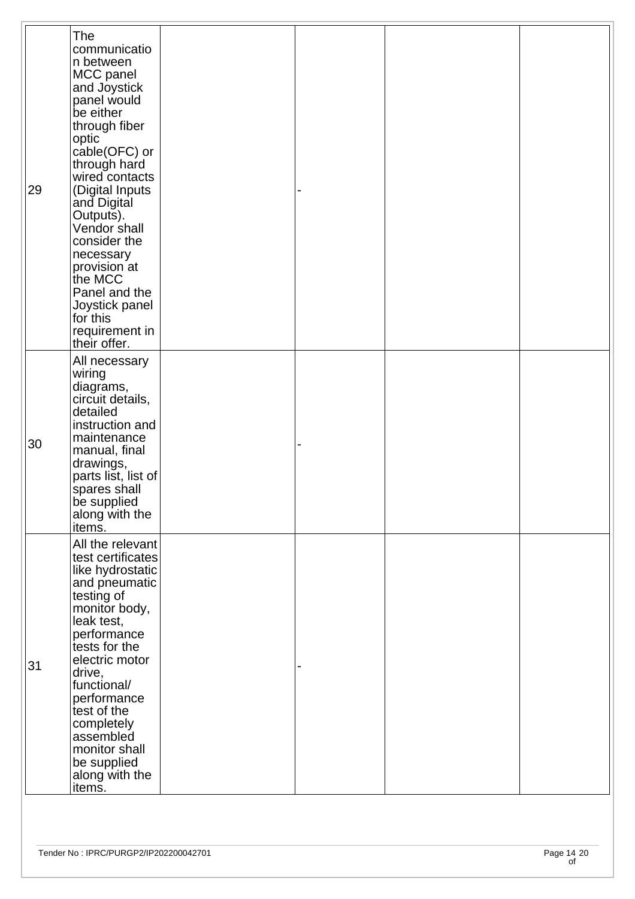| 29 | The<br>communicatio<br>n between<br>MCC panel<br>and Joystick<br>panel would<br>be either<br>through fiber<br>optic<br>cable(OFC) or<br>through hard<br>wired contacts<br>(Digital Inputs<br>and Digital<br>Outputs).<br>Vendor shall<br>consider the<br>necessary<br>provision at<br>the MCC<br>Panel and the<br>Joystick panel<br>for this<br>requirement in<br>their offer. |  |  |
|----|--------------------------------------------------------------------------------------------------------------------------------------------------------------------------------------------------------------------------------------------------------------------------------------------------------------------------------------------------------------------------------|--|--|
| 30 | All necessary<br>wiring<br>diagrams,<br>circuit details,<br>detailed<br>instruction and<br>maintenance<br>manual, final<br>drawings,<br>parts list, list of<br>spares shall<br>be supplied<br>along with the<br>items.                                                                                                                                                         |  |  |
| 31 | All the relevant<br>test certificates<br>like hydrostatic<br>and pneumatic<br>testing of<br>monitor body,<br>leak test,<br>performance<br>tests for the<br>electric motor<br>drive,<br>functional/<br>performance<br>test of the<br>completely<br>assembled<br>monitor shall<br>be supplied<br>along with the<br>items.                                                        |  |  |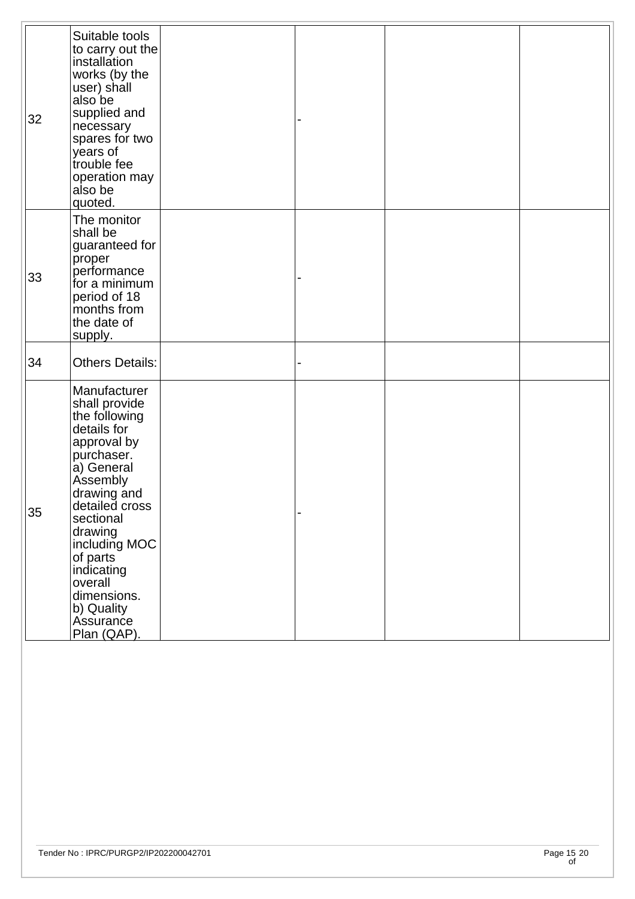| 32 | Suitable tools<br>to carry out the<br>installation<br>works (by the<br>user) shall<br>also be<br>supplied and<br>necessary<br>spares for two<br>years of<br>trouble fee<br>operation may<br>also be<br>quoted.                                                                               |  |  |
|----|----------------------------------------------------------------------------------------------------------------------------------------------------------------------------------------------------------------------------------------------------------------------------------------------|--|--|
| 33 | The monitor<br>shall be<br>guaranteed for<br>proper<br>performance<br>for a minimum<br>period of 18<br>months from<br>the date of<br>supply.                                                                                                                                                 |  |  |
| 34 | <b>Others Details:</b>                                                                                                                                                                                                                                                                       |  |  |
| 35 | Manufacturer<br>shall provide<br>the following<br>details for<br>approval by<br>purchaser.<br>a) General<br>Assembly<br>drawing and<br>detailed cross<br>sectional<br>drawing<br>including MOC<br>of parts<br>indicating<br>overall<br>dimensions.<br>b) Quality<br>Assurance<br>Plan (QAP). |  |  |
|    |                                                                                                                                                                                                                                                                                              |  |  |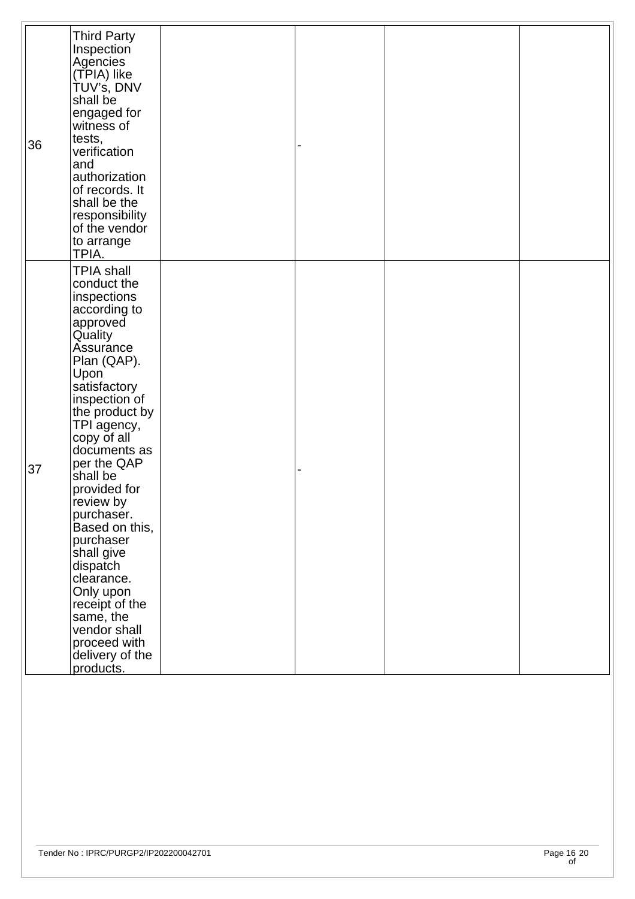| 36 | <b>Third Party</b><br>Inspection<br>Agencies<br>(TPIA) like<br>TUV's, DNV<br>shall be<br>engaged for<br>witness of<br>tests,<br>verification<br>and<br>authorization<br>of records. It<br>shall be the<br>responsibility<br>of the vendor<br>to arrange<br>TPIA.<br><b>TPIA shall</b>                                                                                                                                                                           |  |  |
|----|-----------------------------------------------------------------------------------------------------------------------------------------------------------------------------------------------------------------------------------------------------------------------------------------------------------------------------------------------------------------------------------------------------------------------------------------------------------------|--|--|
| 37 | conduct the<br>inspections<br>according to<br>approved<br>Quality<br>Assurance<br>Plan (QAP).<br>Upon<br>satisfactory<br>inspection of<br>the product by<br>TPI agency,<br>copy of all<br>documents as<br>per the QAP<br>shall be<br>provided for<br>review by<br>purchaser.<br>Based on this,<br>purchaser<br>shall give<br>dispatch<br>clearance.<br>Only upon<br>receipt of the<br>same, the<br>vendor shall<br>proceed with<br>delivery of the<br>products. |  |  |
|    |                                                                                                                                                                                                                                                                                                                                                                                                                                                                 |  |  |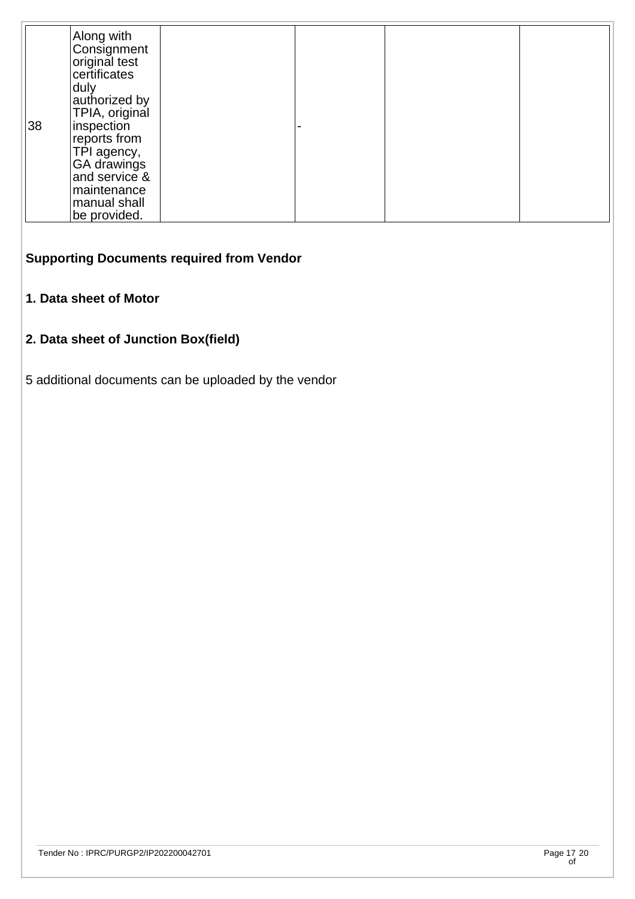| 38 | Along with<br>Consignment<br>original test<br>certificates<br>duly<br>authorized by<br>TPIA, original<br>inspection<br>reports from<br>TPI agency,<br>GA drawings<br>and service &<br>maintenance |  |  |
|----|---------------------------------------------------------------------------------------------------------------------------------------------------------------------------------------------------|--|--|
|    | manual shall<br>be provided.                                                                                                                                                                      |  |  |

# **Supporting Documents required from Vendor**

**1. Data sheet of Motor**

## **2. Data sheet of Junction Box(field)**

5 additional documents can be uploaded by the vendor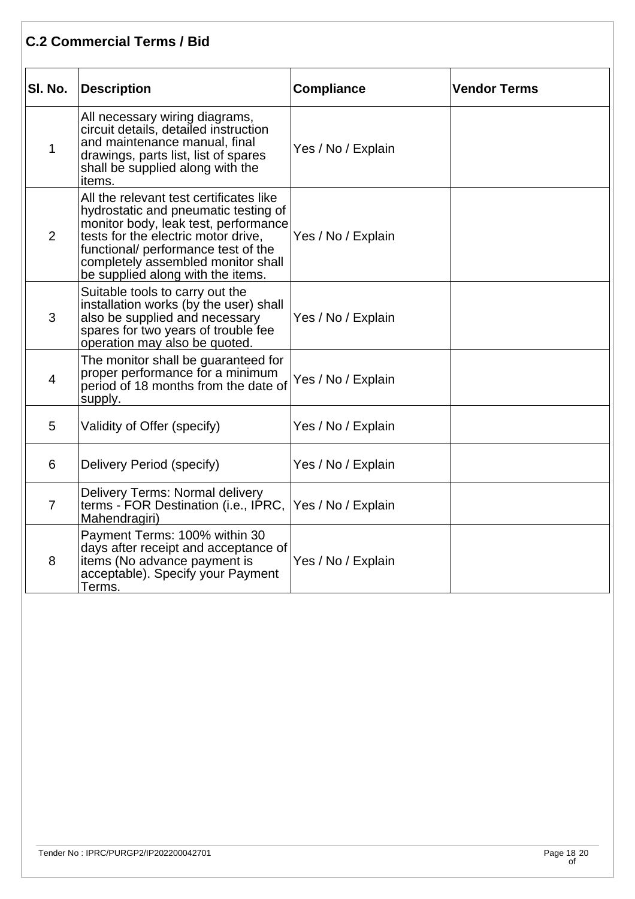## **C.2 Commercial Terms / Bid**

| SI. No.        | <b>Description</b>                                                                                                                                                                                                                                                               | <b>Compliance</b>  | <b>Vendor Terms</b> |
|----------------|----------------------------------------------------------------------------------------------------------------------------------------------------------------------------------------------------------------------------------------------------------------------------------|--------------------|---------------------|
| $\mathbf{1}$   | All necessary wiring diagrams,<br>circuit details, detailed instruction<br>and maintenance manual, final<br>drawings, parts list, list of spares<br>shall be supplied along with the<br>items.                                                                                   | Yes / No / Explain |                     |
| $\overline{2}$ | All the relevant test certificates like<br>hydrostatic and pneumatic testing of<br>monitor body, leak test, performance<br>tests for the electric motor drive,<br>functional/ performance test of the<br>completely assembled monitor shall<br>be supplied along with the items. | Yes / No / Explain |                     |
| 3              | Suitable tools to carry out the<br>installation works (by the user) shall<br>also be supplied and necessary<br>spares for two years of trouble fee<br>operation may also be quoted.                                                                                              | Yes / No / Explain |                     |
| $\overline{4}$ | The monitor shall be guaranteed for<br>proper performance for a minimum<br>period of 18 months from the date of<br>supply.                                                                                                                                                       | Yes / No / Explain |                     |
| 5              | Validity of Offer (specify)                                                                                                                                                                                                                                                      | Yes / No / Explain |                     |
| 6              | Delivery Period (specify)                                                                                                                                                                                                                                                        | Yes / No / Explain |                     |
| $\overline{7}$ | <b>Delivery Terms: Normal delivery</b><br>terms - FOR Destination (i.e., IPRC, Yes / No / Explain<br>Mahendragiri)                                                                                                                                                               |                    |                     |
| 8              | Payment Terms: 100% within 30<br>days after receipt and acceptance of<br>items (No advance payment is<br>acceptable). Specify your Payment<br>Terms.                                                                                                                             | Yes / No / Explain |                     |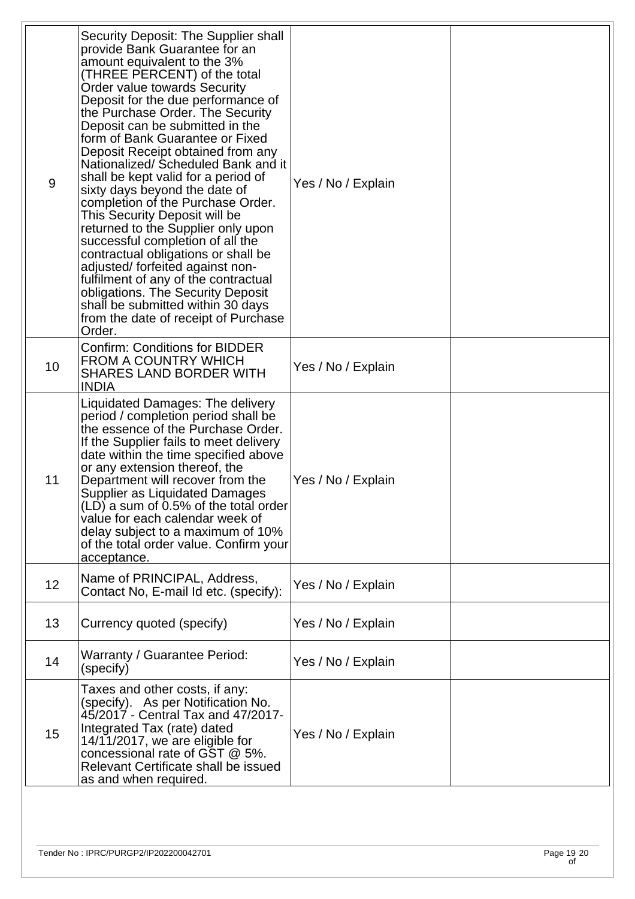| 9  | Security Deposit: The Supplier shall<br>provide Bank Guarantee for an<br>amount equivalent to the 3%<br>(THREE PERCENT) of the total<br><b>Order value towards Security</b><br>Deposit for the due performance of<br>the Purchase Order. The Security<br>Deposit can be submitted in the<br>form of Bank Guarantee or Fixed<br>Deposit Receipt obtained from any<br>Nationalized/Scheduled Bank and it<br>shall be kept valid for a period of<br>sixty days beyond the date of<br>completion of the Purchase Order.<br>This Security Deposit will be<br>returned to the Supplier only upon<br>successful completion of all the<br>contractual obligations or shall be<br>adjusted/ forfeited against non-<br>fulfilment of any of the contractual<br>obligations. The Security Deposit<br>shall be submitted within 30 days<br>from the date of receipt of Purchase<br>Order. | Yes / No / Explain |  |
|----|-------------------------------------------------------------------------------------------------------------------------------------------------------------------------------------------------------------------------------------------------------------------------------------------------------------------------------------------------------------------------------------------------------------------------------------------------------------------------------------------------------------------------------------------------------------------------------------------------------------------------------------------------------------------------------------------------------------------------------------------------------------------------------------------------------------------------------------------------------------------------------|--------------------|--|
| 10 | <b>Confirm: Conditions for BIDDER</b><br><b>FROM A COUNTRY WHICH</b><br><b>SHARES LAND BORDER WITH</b><br><b>INDIA</b>                                                                                                                                                                                                                                                                                                                                                                                                                                                                                                                                                                                                                                                                                                                                                        | Yes / No / Explain |  |
| 11 | Liquidated Damages: The delivery<br>period / completion period shall be<br>the essence of the Purchase Order.<br>If the Supplier fails to meet delivery<br>date within the time specified above<br>or any extension thereof, the<br>Department will recover from the<br>Supplier as Liquidated Damages<br>$(LD)$ a sum of 0.5% of the total order<br>value for each calendar week of<br>delay subject to a maximum of 10%<br>of the total order value. Confirm your<br>acceptance.                                                                                                                                                                                                                                                                                                                                                                                            | Yes / No / Explain |  |
| 12 | Name of PRINCIPAL, Address,<br>Contact No, E-mail Id etc. (specify):                                                                                                                                                                                                                                                                                                                                                                                                                                                                                                                                                                                                                                                                                                                                                                                                          | Yes / No / Explain |  |
| 13 | Currency quoted (specify)                                                                                                                                                                                                                                                                                                                                                                                                                                                                                                                                                                                                                                                                                                                                                                                                                                                     | Yes / No / Explain |  |
| 14 | <b>Warranty / Guarantee Period:</b><br>(specify)                                                                                                                                                                                                                                                                                                                                                                                                                                                                                                                                                                                                                                                                                                                                                                                                                              | Yes / No / Explain |  |
| 15 | Taxes and other costs, if any:<br>(specify). As per Notification No.<br>45/2017 - Central Tax and 47/2017-<br>Integrated Tax (rate) dated<br>14/11/2017, we are eligible for<br>concessional rate of $GST \& 5\%$ .<br>Relevant Certificate shall be issued<br>as and when required.                                                                                                                                                                                                                                                                                                                                                                                                                                                                                                                                                                                          | Yes / No / Explain |  |